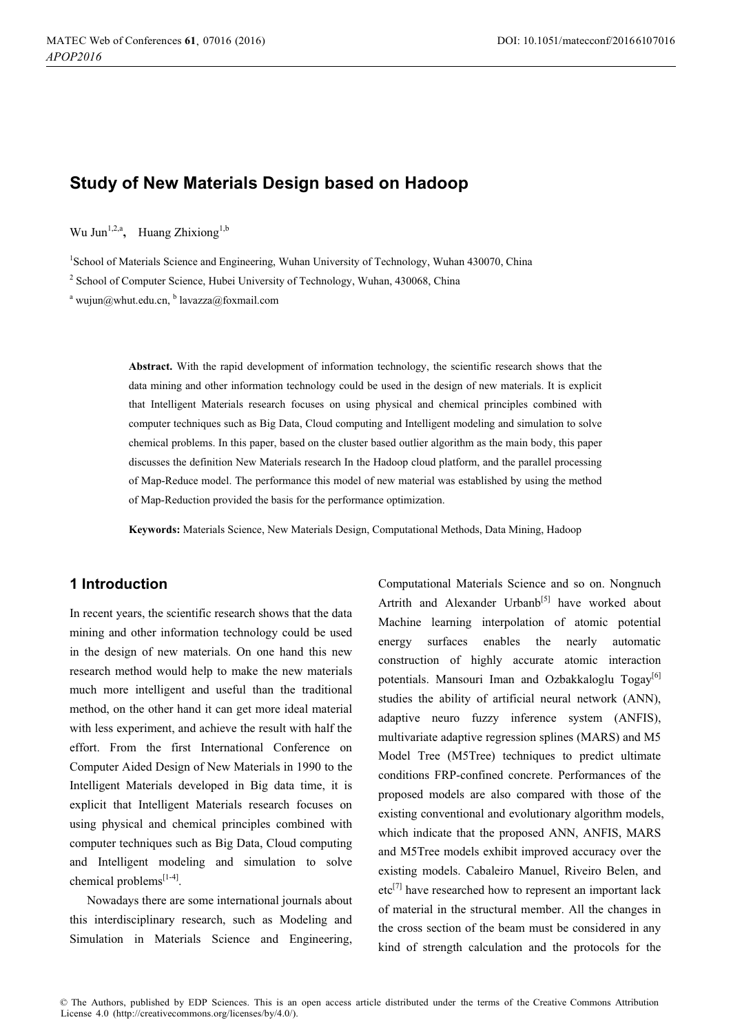# **Study of New Materials Design based on Hadoop**

Wu Jun<sup>1,2,a</sup>, Huang Zhixiong<sup>1,b</sup>

<sup>1</sup>School of Materials Science and Engineering, Wuhan University of Technology, Wuhan 430070, China

<sup>2</sup> School of Computer Science, Hubei University of Technology, Wuhan, 430068, China

<sup>a</sup> [wujun@whut.edu.cn,](mailto:wujun@whut.edu.cn) <sup>b</sup> lavazza@foxmail.com

**Abstract.** With the rapid development of information technology, the scientific research shows that the data mining and other information technology could be used in the design of new materials. It is explicit that Intelligent Materials research focuses on using physical and chemical principles combined with computer techniques such as Big Data, Cloud computing and Intelligent modeling and simulation to solve chemical problems. In this paper, based on the cluster based outlier algorithm as the main body, this paper discusses the definition New Materials research In the Hadoop cloud platform, and the parallel processing of Map-Reduce model. The performance this model of new material was established by using the method of Map-Reduction provided the basis for the performance optimization.

**Keywords:** Materials Science, New Materials Design, Computational Methods, Data Mining, Hadoop

# **1 Introduction**

In recent years, the scientific research shows that the data mining and other information technology could be used in the design of new materials. On one hand this new research method would help to make the new materials much more intelligent and useful than the traditional method, on the other hand it can get more ideal material with less experiment, and achieve the result with half the effort. From the first International Conference on Computer Aided Design of New Materials in 1990 to the Intelligent Materials developed in Big data time, it is explicit that Intelligent Materials research focuses on using physical and chemical principles combined with computer techniques such as Big Data, Cloud computing and Intelligent modeling and simulation to solve chemical problems<sup>[1-4]</sup>.

Nowadays there are some international journals about this interdisciplinary research, such as Modeling and Simulation in Materials Science and Engineering, Computational Materials Science and so on. Nongnuch Artrith and Alexander Urbanb<sup>[5]</sup> have worked about Machine learning interpolation of atomic potential energy surfaces enables the nearly automatic construction of highly accurate atomic interaction potentials. Mansouri Iman and Ozbakkaloglu Togay<sup>[6]</sup> studies the ability of artificial neural network (ANN), adaptive neuro fuzzy inference system (ANFIS), multivariate adaptive regression splines (MARS) and M5 Model Tree (M5Tree) techniques to predict ultimate conditions FRP-confined concrete. Performances of the proposed models are also compared with those of the existing conventional and evolutionary algorithm models, which indicate that the proposed ANN, ANFIS, MARS and M5Tree models exhibit improved accuracy over the existing models. Cabaleiro Manuel, Riveiro Belen, and etc<sup>[7]</sup> have researched how to represent an important lack of material in the structural member. All the changes in the cross section of the beam must be considered in any kind of strength calculation and the protocols for the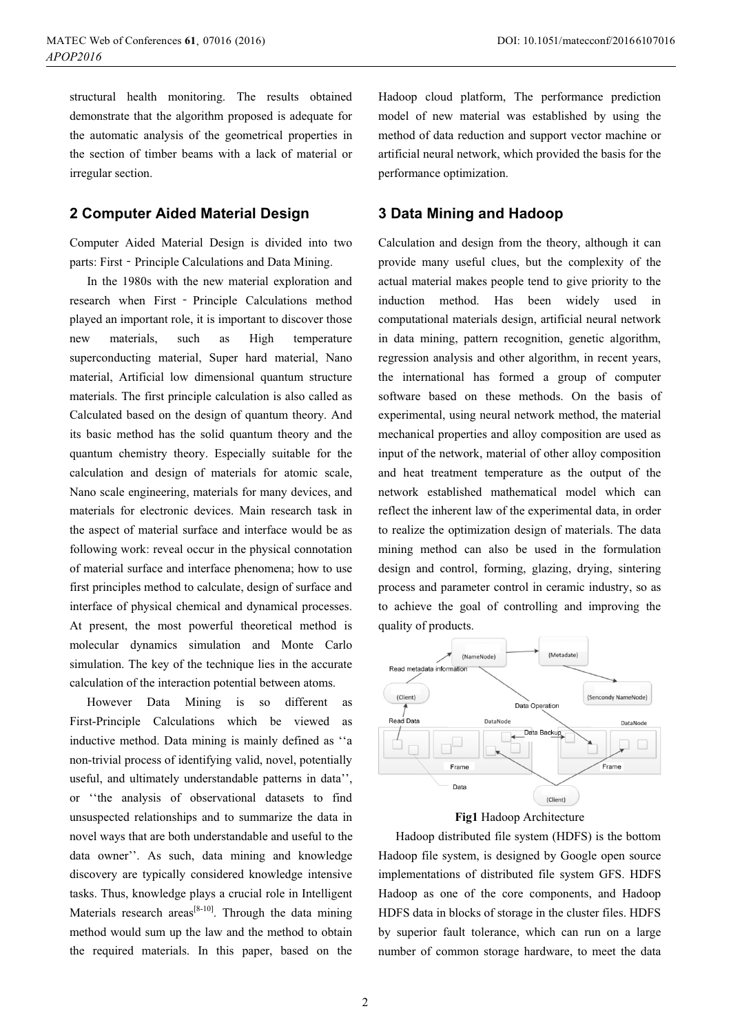structural health monitoring. The results obtained

demonstrate that the algorithm proposed is adequate for the automatic analysis of the geometrical properties in the section of timber beams with a lack of material or irregular section.

### **2 Computer Aided Material Design**

Computer Aided Material Design is divided into two parts: First - Principle Calculations and Data Mining.

In the 1980s with the new material exploration and research when First - Principle Calculations method played an important role, it is important to discover those new materials, such as High temperature superconducting material, Super hard material, Nano material, Artificial low dimensional quantum structure materials. The first principle calculation is also called as Calculated based on the design of quantum theory. And its basic method has the solid quantum theory and the quantum chemistry theory. Especially suitable for the calculation and design of materials for atomic scale, Nano scale engineering, materials for many devices, and materials for electronic devices. Main research task in the aspect of material surface and interface would be as following work: reveal occur in the physical connotation of material surface and interface phenomena; how to use first principles method to calculate, design of surface and interface of physical chemical and dynamical processes. At present, the most powerful theoretical method is molecular dynamics simulation and Monte Carlo simulation. The key of the technique lies in the accurate calculation of the interaction potential between atoms.

However Data Mining is so different as First-Principle Calculations which be viewed as inductive method. Data mining is mainly defined as ''a non-trivial process of identifying valid, novel, potentially useful, and ultimately understandable patterns in data'', or ''the analysis of observational datasets to find unsuspected relationships and to summarize the data in novel ways that are both understandable and useful to the data owner''. As such, data mining and knowledge discovery are typically considered knowledge intensive tasks. Thus, knowledge plays a crucial role in Intelligent Materials research areas<sup>[8-10]</sup>. Through the data mining method would sum up the law and the method to obtain the required materials. In this paper, based on the Hadoop cloud platform, The performance prediction model of new material was established by using the method of data reduction and support vector machine or artificial neural network, which provided the basis for the performance optimization.

## **3 Data Mining and Hadoop**

Calculation and design from the theory, although it can provide many useful clues, but the complexity of the actual material makes people tend to give priority to the induction method. Has been widely used in computational materials design, artificial neural network in data mining, pattern recognition, genetic algorithm, regression analysis and other algorithm, in recent years, the international has formed a group of computer software based on these methods. On the basis of experimental, using neural network method, the material mechanical properties and alloy composition are used as input of the network, material of other alloy composition and heat treatment temperature as the output of the network established mathematical model which can reflect the inherent law of the experimental data, in order to realize the optimization design of materials. The data mining method can also be used in the formulation design and control, forming, glazing, drying, sintering process and parameter control in ceramic industry, so as to achieve the goal of controlling and improving the quality of products.





Hadoop distributed file system (HDFS) is the bottom Hadoop file system, is designed by Google open source implementations of distributed file system GFS. HDFS Hadoop as one of the core components, and Hadoop HDFS data in blocks of storage in the cluster files. HDFS by superior fault tolerance, which can run on a large number of common storage hardware, to meet the data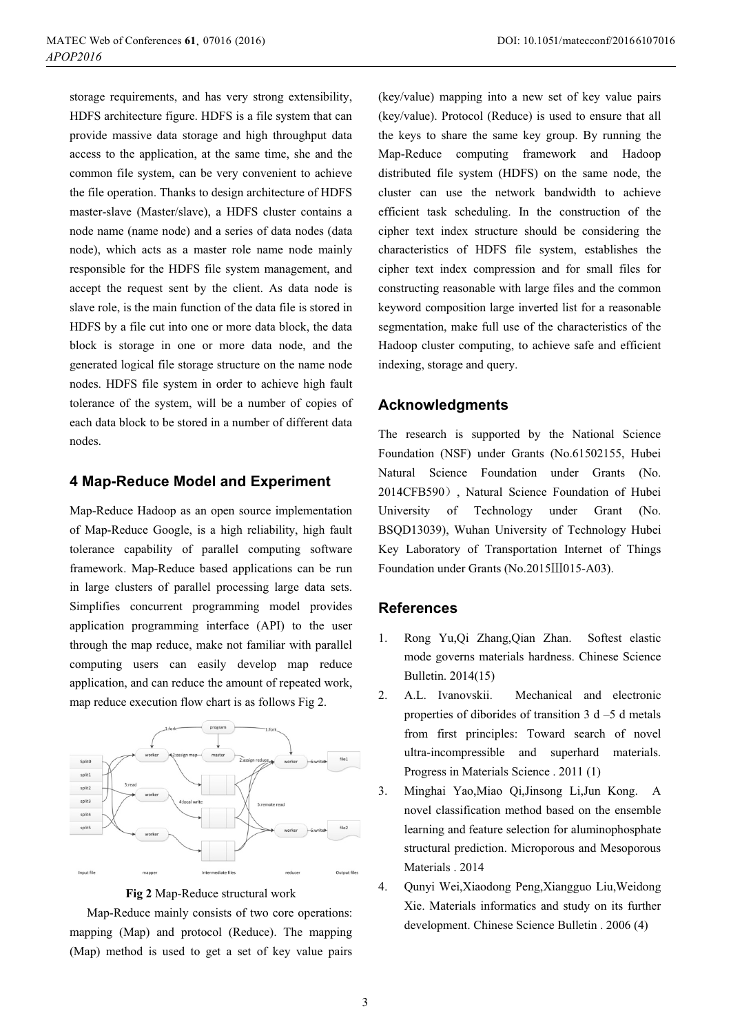storage requirements, and has very strong extensibility, HDFS architecture figure. HDFS is a file system that can provide massive data storage and high throughput data access to the application, at the same time, she and the common file system, can be very convenient to achieve the file operation. Thanks to design architecture of HDFS master-slave (Master/slave), a HDFS cluster contains a node name (name node) and a series of data nodes (data node), which acts as a master role name node mainly responsible for the HDFS file system management, and accept the request sent by the client. As data node is slave role, is the main function of the data file is stored in HDFS by a file cut into one or more data block, the data block is storage in one or more data node, and the generated logical file storage structure on the name node nodes. HDFS file system in order to achieve high fault tolerance of the system, will be a number of copies of each data block to be stored in a number of different data nodes.

#### **4 Map-Reduce Model and Experiment**

Map-Reduce Hadoop as an open source implementation of Map-Reduce Google, is a high reliability, high fault tolerance capability of parallel computing software framework. Map-Reduce based applications can be run in large clusters of parallel processing large data sets. Simplifies concurrent programming model provides application programming interface (API) to the user through the map reduce, make not familiar with parallel computing users can easily develop map reduce application, and can reduce the amount of repeated work, map reduce execution flow chart is as follows Fig 2.





Map-Reduce mainly consists of two core operations: mapping (Map) and protocol (Reduce). The mapping (Map) method is used to get a set of key value pairs (key/value) mapping into a new set of key value pairs (key/value). Protocol (Reduce) is used to ensure that all the keys to share the same key group. By running the Map-Reduce computing framework and Hadoop distributed file system (HDFS) on the same node, the cluster can use the network bandwidth to achieve efficient task scheduling. In the construction of the cipher text index structure should be considering the characteristics of HDFS file system, establishes the cipher text index compression and for small files for constructing reasonable with large files and the common keyword composition large inverted list for a reasonable segmentation, make full use of the characteristics of the Hadoop cluster computing, to achieve safe and efficient indexing, storage and query.

#### **Acknowledgments**

The research is supported by the National Science Foundation (NSF) under Grants (No.61502155, Hubei Natural Science Foundation under Grants (No. 2014CFB590˅, Natural Science Foundation of Hubei University of Technology under Grant (No. BSQD13039), Wuhan University of Technology Hubei Key Laboratory of Transportation Internet of Things Foundation under Grants (No.2015III015-A03).

#### **References**

- 1. Rong Yu,Qi Zhang,Qian Zhan. Softest elastic mode governs materials hardness. Chinese Science Bulletin. 2014(15)
- 2. A.L. Ivanovskii. Mechanical and electronic properties of diborides of transition  $3 d - 5 d$  metals from first principles: Toward search of novel ultra-incompressible and superhard materials. Progress in Materials Science . 2011 (1)
- 3. Minghai Yao,Miao Qi,Jinsong Li,Jun Kong. A novel classification method based on the ensemble learning and feature selection for aluminophosphate structural prediction. Microporous and Mesoporous Materials . 2014
- 4. Qunyi Wei,Xiaodong Peng,Xiangguo Liu,Weidong Xie. Materials informatics and study on its further development. Chinese Science Bulletin . 2006 (4)